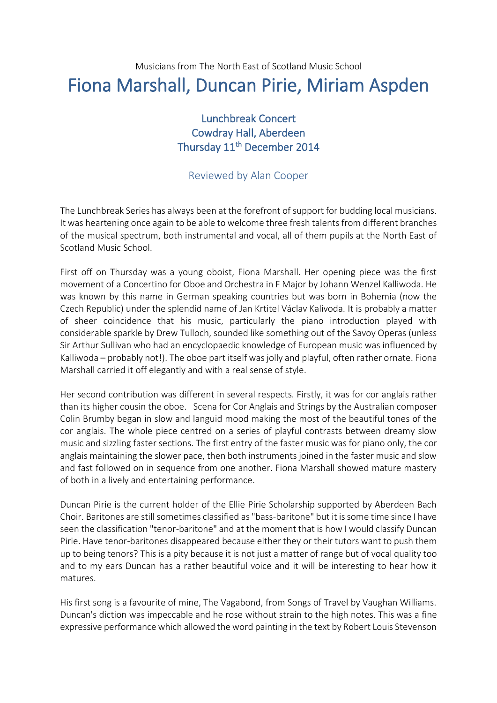## Musicians from The North East of Scotland Music School Fiona Marshall, Duncan Pirie, Miriam Aspden

## Lunchbreak Concert Cowdray Hall, Aberdeen Thursday 11<sup>th</sup> December 2014

## Reviewed by Alan Cooper

The Lunchbreak Series has always been at the forefront of support for budding local musicians. It was heartening once again to be able to welcome three fresh talents from different branches of the musical spectrum, both instrumental and vocal, all of them pupils at the North East of Scotland Music School.

First off on Thursday was a young oboist, Fiona Marshall. Her opening piece was the first movement of a Concertino for Oboe and Orchestra in F Major by Johann Wenzel Kalliwoda. He was known by this name in German speaking countries but was born in Bohemia (now the Czech Republic) under the splendid name of Jan Krtitel Václav Kalivoda. It is probably a matter of sheer coincidence that his music, particularly the piano introduction played with considerable sparkle by Drew Tulloch, sounded like something out of the Savoy Operas (unless Sir Arthur Sullivan who had an encyclopaedic knowledge of European music was influenced by Kalliwoda – probably not!). The oboe part itself was jolly and playful, often rather ornate. Fiona Marshall carried it off elegantly and with a real sense of style.

Her second contribution was different in several respects. Firstly, it was for cor anglais rather than its higher cousin the oboe. Scena for Cor Anglais and Strings by the Australian composer Colin Brumby began in slow and languid mood making the most of the beautiful tones of the cor anglais. The whole piece centred on a series of playful contrasts between dreamy slow music and sizzling faster sections. The first entry of the faster music was for piano only, the cor anglais maintaining the slower pace, then both instruments joined in the faster music and slow and fast followed on in sequence from one another. Fiona Marshall showed mature mastery of both in a lively and entertaining performance.

Duncan Pirie is the current holder of the Ellie Pirie Scholarship supported by Aberdeen Bach Choir. Baritones are still sometimes classified as "bass-baritone" but it is some time since I have seen the classification "tenor-baritone" and at the moment that is how I would classify Duncan Pirie. Have tenor-baritones disappeared because either they or their tutors want to push them up to being tenors? This is a pity because it is not just a matter of range but of vocal quality too and to my ears Duncan has a rather beautiful voice and it will be interesting to hear how it matures.

His first song is a favourite of mine, The Vagabond, from Songs of Travel by Vaughan Williams. Duncan's diction was impeccable and he rose without strain to the high notes. This was a fine expressive performance which allowed the word painting in the text by Robert Louis Stevenson